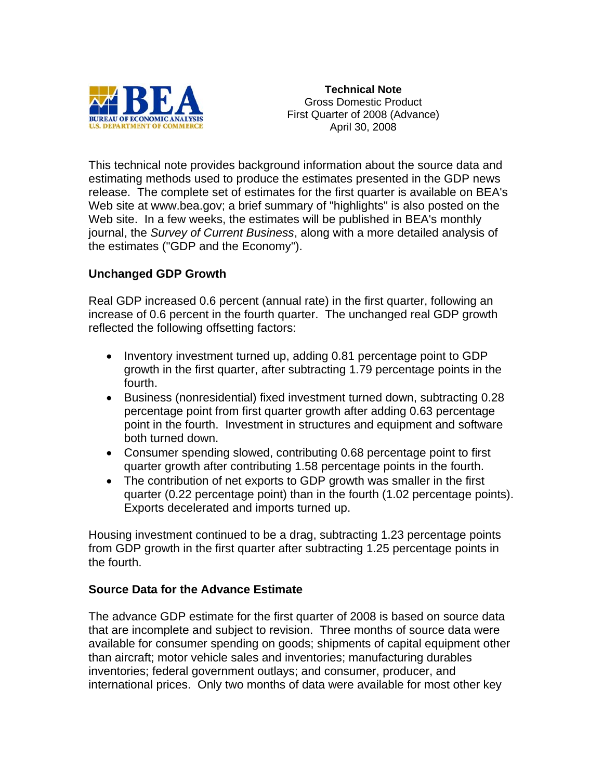

**Technical Note**  Gross Domestic Product First Quarter of 2008 (Advance) April 30, 2008

This technical note provides background information about the source data and estimating methods used to produce the estimates presented in the GDP news release. The complete set of estimates for the first quarter is available on BEA's Web site at www.bea.gov; a brief summary of "highlights" is also posted on the Web site. In a few weeks, the estimates will be published in BEA's monthly journal, the *Survey of Current Business*, along with a more detailed analysis of the estimates ("GDP and the Economy").

## **Unchanged GDP Growth**

Real GDP increased 0.6 percent (annual rate) in the first quarter, following an increase of 0.6 percent in the fourth quarter. The unchanged real GDP growth reflected the following offsetting factors:

- Inventory investment turned up, adding 0.81 percentage point to GDP growth in the first quarter, after subtracting 1.79 percentage points in the fourth.
- Business (nonresidential) fixed investment turned down, subtracting 0.28 percentage point from first quarter growth after adding 0.63 percentage point in the fourth. Investment in structures and equipment and software both turned down.
- Consumer spending slowed, contributing 0.68 percentage point to first quarter growth after contributing 1.58 percentage points in the fourth.
- The contribution of net exports to GDP growth was smaller in the first quarter (0.22 percentage point) than in the fourth (1.02 percentage points). Exports decelerated and imports turned up.

Housing investment continued to be a drag, subtracting 1.23 percentage points from GDP growth in the first quarter after subtracting 1.25 percentage points in the fourth.

## **Source Data for the Advance Estimate**

The advance GDP estimate for the first quarter of 2008 is based on source data that are incomplete and subject to revision. Three months of source data were available for consumer spending on goods; shipments of capital equipment other than aircraft; motor vehicle sales and inventories; manufacturing durables inventories; federal government outlays; and consumer, producer, and international prices. Only two months of data were available for most other key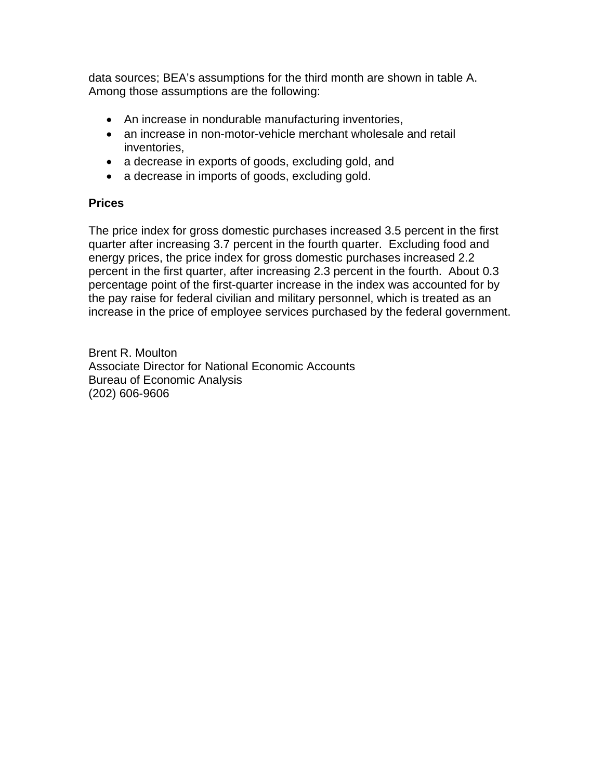data sources; BEA's assumptions for the third month are shown in table A. Among those assumptions are the following:

- An increase in nondurable manufacturing inventories,
- an increase in non-motor-vehicle merchant wholesale and retail inventories,
- a decrease in exports of goods, excluding gold, and
- a decrease in imports of goods, excluding gold.

## **Prices**

The price index for gross domestic purchases increased 3.5 percent in the first quarter after increasing 3.7 percent in the fourth quarter. Excluding food and energy prices, the price index for gross domestic purchases increased 2.2 percent in the first quarter, after increasing 2.3 percent in the fourth. About 0.3 percentage point of the first-quarter increase in the index was accounted for by the pay raise for federal civilian and military personnel, which is treated as an increase in the price of employee services purchased by the federal government.

Brent R. Moulton Associate Director for National Economic Accounts Bureau of Economic Analysis (202) 606-9606